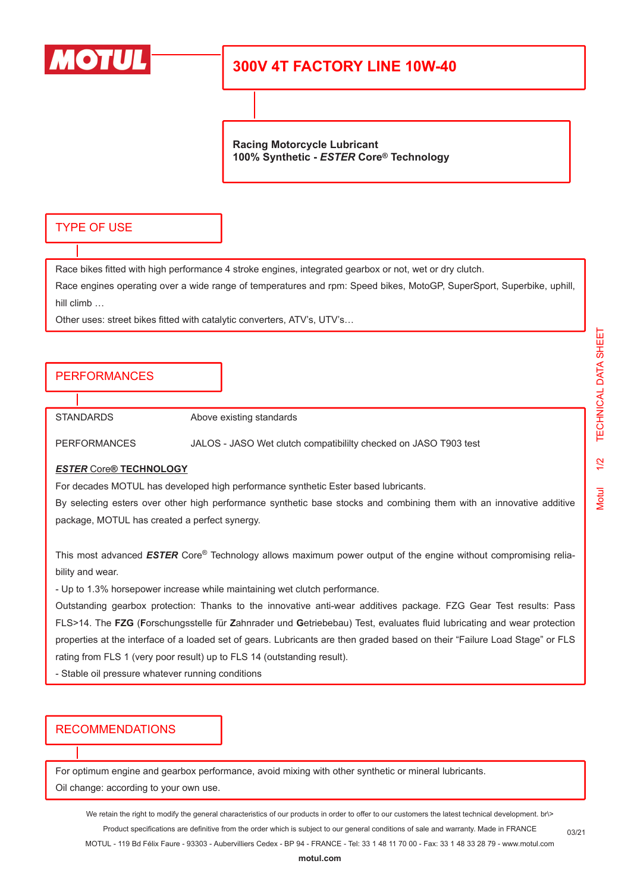

# **300V 4T FACTORY LINE 10W-40**

**Racing Motorcycle Lubricant 100% Synthetic -** *ESTER* **Core® Technology**

### TYPE OF USE

Race bikes fitted with high performance 4 stroke engines, integrated gearbox or not, wet or dry clutch.

Race engines operating over a wide range of temperatures and rpm: Speed bikes, MotoGP, SuperSport, Superbike, uphill, hill climb …

Other uses: street bikes fitted with catalytic converters, ATV's, UTV's…

## **PERFORMANCES**

STANDARDS Above existing standards

PERFORMANCES JALOS - JASO Wet clutch compatibililty checked on JASO T903 test

#### *ESTER* Core**® TECHNOLOGY**

For decades MOTUL has developed high performance synthetic Ester based lubricants.

By selecting esters over other high performance synthetic base stocks and combining them with an innovative additive package, MOTUL has created a perfect synergy.

This most advanced *ESTER* Core® Technology allows maximum power output of the engine without compromising reliability and wear.

- Up to 1.3% horsepower increase while maintaining wet clutch performance.

Outstanding gearbox protection: Thanks to the innovative anti-wear additives package. FZG Gear Test results: Pass FLS>14. The **FZG** (**F**orschungsstelle für **Z**ahnrader und **G**etriebebau) Test, evaluates fluid lubricating and wear protection properties at the interface of a loaded set of gears. Lubricants are then graded based on their "Failure Load Stage" or FLS rating from FLS 1 (very poor result) up to FLS 14 (outstanding result).

- Stable oil pressure whatever running conditions

## RECOMMENDATIONS

For optimum engine and gearbox performance, avoid mixing with other synthetic or mineral lubricants.

Oil change: according to your own use.

We retain the right to modify the general characteristics of our products in order to offer to our customers the latest technical development. br\> Product specifications are definitive from the order which is subject to our general conditions of sale and warranty. Made in FRANCE

MOTUL - 119 Bd Félix Faure - 93303 - Aubervilliers Cedex - BP 94 - FRANCE - Tel: 33 1 48 11 70 00 - Fax: 33 1 48 33 28 79 - www.motul.com

03/21